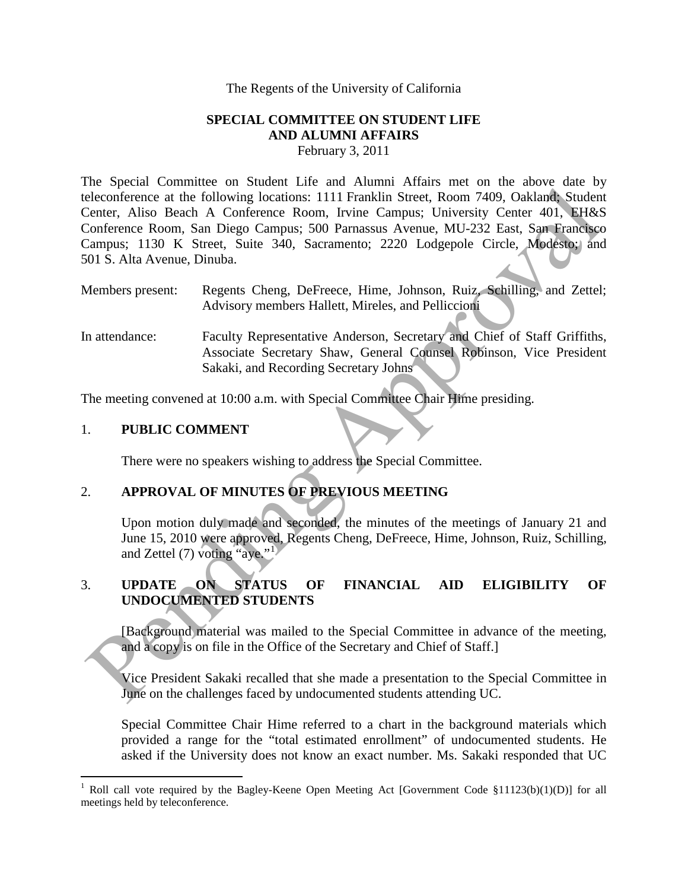#### The Regents of the University of California

#### **SPECIAL COMMITTEE ON STUDENT LIFE AND ALUMNI AFFAIRS** February 3, 2011

The Special Committee on Student Life and Alumni Affairs met on the above date by teleconference at the following locations: 1111 Franklin Street, Room 7409, Oakland; Student Center, Aliso Beach A Conference Room, Irvine Campus; University Center 401, EH&S Conference Room, San Diego Campus; 500 Parnassus Avenue, MU-232 East, San Francisco Campus; 1130 K Street, Suite 340, Sacramento; 2220 Lodgepole Circle, Modesto; and 501 S. Alta Avenue, Dinuba. The Space of the Collection Entreprene and the Collection Content and the Collection of the Collection Content<br>
Electoric Riso Beach A Content Room, Fr[in](#page-0-0)ce Campus: Universe Comparison Content and A Content<br>
Conference Room

- Members present: Regents Cheng, DeFreece, Hime, Johnson, Ruiz, Schilling, and Zettel; Advisory members Hallett, Mireles, and Pelliccioni
- In attendance: Faculty Representative Anderson, Secretary and Chief of Staff Griffiths, Associate Secretary Shaw, General Counsel Robinson, Vice President Sakaki, and Recording Secretary Johns

The meeting convened at 10:00 a.m. with Special Committee Chair Hime presiding.

### 1. **PUBLIC COMMENT**

There were no speakers wishing to address the Special Committee.

# 2. **APPROVAL OF MINUTES OF PREVIOUS MEETING**

Upon motion duly made and seconded, the minutes of the meetings of January 21 and June 15, 2010 were approved, Regents Cheng, DeFreece, Hime, Johnson, Ruiz, Schilling, and Zettel  $(7)$  voting "aye."

# 3. **UPDATE ON STATUS OF FINANCIAL AID ELIGIBILITY OF UNDOCUMENTED STUDENTS**

[Background material was mailed to the Special Committee in advance of the meeting, and a copy is on file in the Office of the Secretary and Chief of Staff.]

Vice President Sakaki recalled that she made a presentation to the Special Committee in June on the challenges faced by undocumented students attending UC.

Special Committee Chair Hime referred to a chart in the background materials which provided a range for the "total estimated enrollment" of undocumented students. He asked if the University does not know an exact number. Ms. Sakaki responded that UC

<span id="page-0-0"></span> $\overline{a}$ <sup>1</sup> Roll call vote required by the Bagley-Keene Open Meeting Act [Government Code §11123(b)(1)(D)] for all meetings held by teleconference.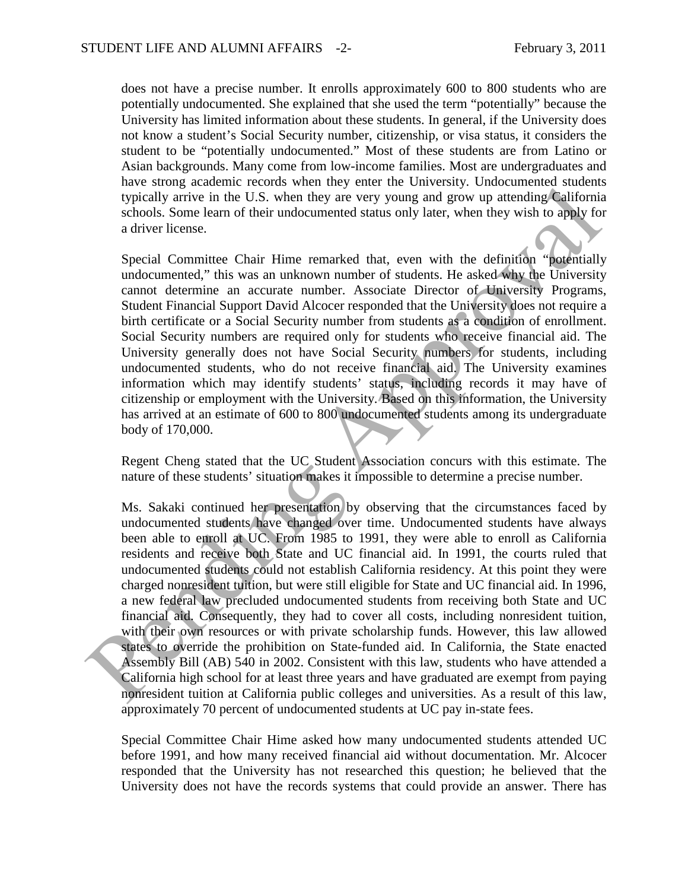does not have a precise number. It enrolls approximately 600 to 800 students who are potentially undocumented. She explained that she used the term "potentially" because the University has limited information about these students. In general, if the University does not know a student's Social Security number, citizenship, or visa status, it considers the student to be "potentially undocumented." Most of these students are from Latino or Asian backgrounds. Many come from low-income families. Most are undergraduates and have strong academic records when they enter the University. Undocumented students typically arrive in the U.S. when they are very young and grow up attending California schools. Some learn of their undocumented status only later, when they wish to apply for a driver license.

Special Committee Chair Hime remarked that, even with the definition "potentially undocumented," this was an unknown number of students. He asked why the University cannot determine an accurate number. Associate Director of University Programs, Student Financial Support David Alcocer responded that the University does not require a birth certificate or a Social Security number from students as a condition of enrollment. Social Security numbers are required only for students who receive financial aid. The University generally does not have Social Security numbers for students, including undocumented students, who do not receive financial aid. The University examines information which may identify students' status, including records it may have of citizenship or employment with the University. Based on this information, the University has arrived at an estimate of 600 to 800 undocumented students among its undergraduate body of 170,000.

Regent Cheng stated that the UC Student Association concurs with this estimate. The nature of these students' situation makes it impossible to determine a precise number.

Ms. Sakaki continued her presentation by observing that the circumstances faced by undocumented students have changed over time. Undocumented students have always been able to enroll at UC. From 1985 to 1991, they were able to enroll as California residents and receive both State and UC financial aid. In 1991, the courts ruled that undocumented students could not establish California residency. At this point they were charged nonresident tuition, but were still eligible for State and UC financial aid. In 1996, a new federal law precluded undocumented students from receiving both State and UC financial aid. Consequently, they had to cover all costs, including nonresident tuition, with their own resources or with private scholarship funds. However, this law allowed states to override the prohibition on State-funded aid. In California, the State enacted Assembly Bill (AB) 540 in 2002. Consistent with this law, students who have attended a California high school for at least three years and have graduated are exempt from paying nonresident tuition at California public colleges and universities. As a result of this law, approximately 70 percent of undocumented students at UC pay in-state fees. mes and the U.S. when they save a service when the distance and the students are a service of the student and the student and the student and the student and the student and the student and the student channel and the stud

Special Committee Chair Hime asked how many undocumented students attended UC before 1991, and how many received financial aid without documentation. Mr. Alcocer responded that the University has not researched this question; he believed that the University does not have the records systems that could provide an answer. There has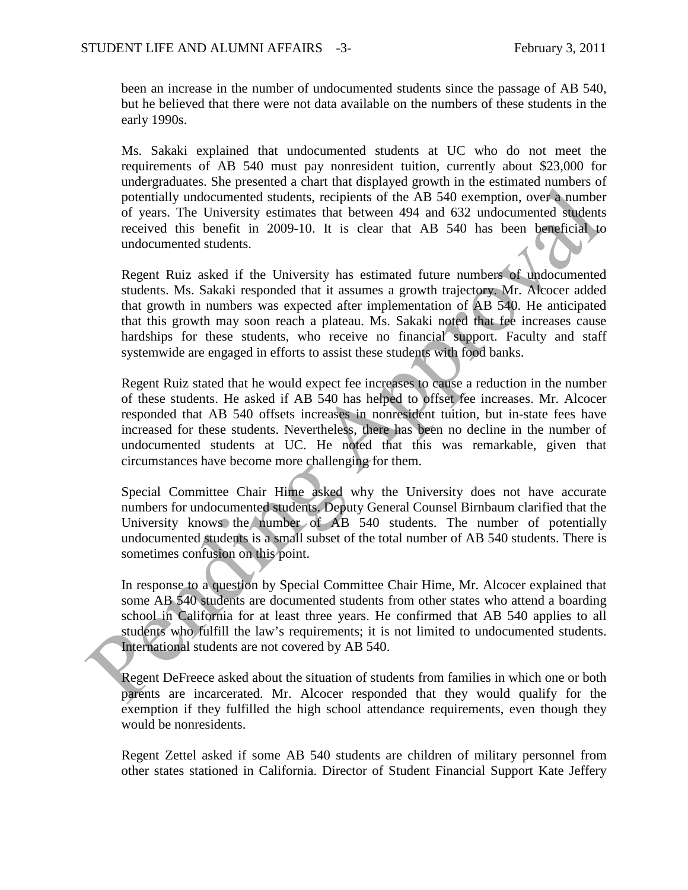been an increase in the number of undocumented students since the passage of AB 540, but he believed that there were not data available on the numbers of these students in the early 1990s.

Ms. Sakaki explained that undocumented students at UC who do not meet the requirements of AB 540 must pay nonresident tuition, currently about \$23,000 for undergraduates. She presented a chart that displayed growth in the estimated numbers of potentially undocumented students, recipients of the AB 540 exemption, over a number of years. The University estimates that between 494 and 632 undocumented students received this benefit in 2009-10. It is clear that AB 540 has been beneficial to undocumented students.

Regent Ruiz asked if the University has estimated future numbers of undocumented students. Ms. Sakaki responded that it assumes a growth trajectory. Mr. Alcocer added that growth in numbers was expected after implementation of AB 540. He anticipated that this growth may soon reach a plateau. Ms. Sakaki noted that fee increases cause hardships for these students, who receive no financial support. Faculty and staff systemwide are engaged in efforts to assist these students with food banks.

Regent Ruiz stated that he would expect fee increases to cause a reduction in the number of these students. He asked if AB 540 has helped to offset fee increases. Mr. Alcocer responded that AB 540 offsets increases in nonresident tuition, but in-state fees have increased for these students. Nevertheless, there has been no decline in the number of undocumented students at UC. He noted that this was remarkable, given that circumstances have become more challenging for them. and the transmission is the transmission of the MB 340 cemption, over a number<br>of year . The University stimulates hat between 494 and 632 undocumented students, excipients of the AB 340 cemption, over a number<br>of years.

Special Committee Chair Hime asked why the University does not have accurate numbers for undocumented students. Deputy General Counsel Birnbaum clarified that the University knows the number of AB 540 students. The number of potentially undocumented students is a small subset of the total number of AB 540 students. There is sometimes confusion on this point.

In response to a question by Special Committee Chair Hime, Mr. Alcocer explained that some AB 540 students are documented students from other states who attend a boarding school in California for at least three years. He confirmed that AB 540 applies to all students who fulfill the law's requirements; it is not limited to undocumented students. International students are not covered by AB 540.

Regent DeFreece asked about the situation of students from families in which one or both parents are incarcerated. Mr. Alcocer responded that they would qualify for the exemption if they fulfilled the high school attendance requirements, even though they would be nonresidents.

Regent Zettel asked if some AB 540 students are children of military personnel from other states stationed in California. Director of Student Financial Support Kate Jeffery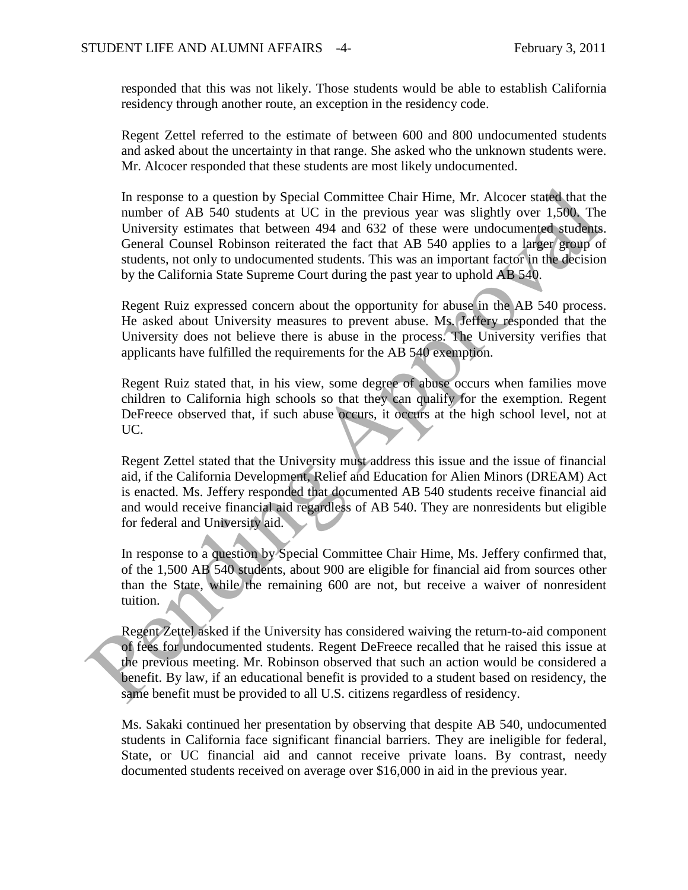responded that this was not likely. Those students would be able to establish California residency through another route, an exception in the residency code.

Regent Zettel referred to the estimate of between 600 and 800 undocumented students and asked about the uncertainty in that range. She asked who the unknown students were. Mr. Alcocer responded that these students are most likely undocumented.

In response to a question by Special Committee Chair Hime, Mr. Alcocer stated that the number of AB 540 students at UC in the previous year was slightly over 1,500. The University estimates that between 494 and 632 of these were undocumented students. General Counsel Robinson reiterated the fact that AB 540 applies to a larger group of students, not only to undocumented students. This was an important factor in the decision by the California State Supreme Court during the past year to uphold AB 540. In response to a question by Special Committee Chair Hime, Mr. Alcocer staced that thum<br>there of AB 540 students at UC in the previous year was slightly over 1.500. The<br>University estimates that between 494 and 632 of the

Regent Ruiz expressed concern about the opportunity for abuse in the AB 540 process. He asked about University measures to prevent abuse. Ms. Jeffery responded that the University does not believe there is abuse in the process. The University verifies that applicants have fulfilled the requirements for the AB 540 exemption.

Regent Ruiz stated that, in his view, some degree of abuse occurs when families move children to California high schools so that they can qualify for the exemption. Regent DeFreece observed that, if such abuse occurs, it occurs at the high school level, not at UC.

Regent Zettel stated that the University must address this issue and the issue of financial aid, if the California Development, Relief and Education for Alien Minors (DREAM) Act is enacted. Ms. Jeffery responded that documented AB 540 students receive financial aid and would receive financial aid regardless of AB 540. They are nonresidents but eligible for federal and University aid.

In response to a question by Special Committee Chair Hime, Ms. Jeffery confirmed that, of the 1,500 AB 540 students, about 900 are eligible for financial aid from sources other than the State, while the remaining 600 are not, but receive a waiver of nonresident tuition.

Regent Zettel asked if the University has considered waiving the return-to-aid component of fees for undocumented students. Regent DeFreece recalled that he raised this issue at the previous meeting. Mr. Robinson observed that such an action would be considered a benefit. By law, if an educational benefit is provided to a student based on residency, the same benefit must be provided to all U.S. citizens regardless of residency.

Ms. Sakaki continued her presentation by observing that despite AB 540, undocumented students in California face significant financial barriers. They are ineligible for federal, State, or UC financial aid and cannot receive private loans. By contrast, needy documented students received on average over \$16,000 in aid in the previous year.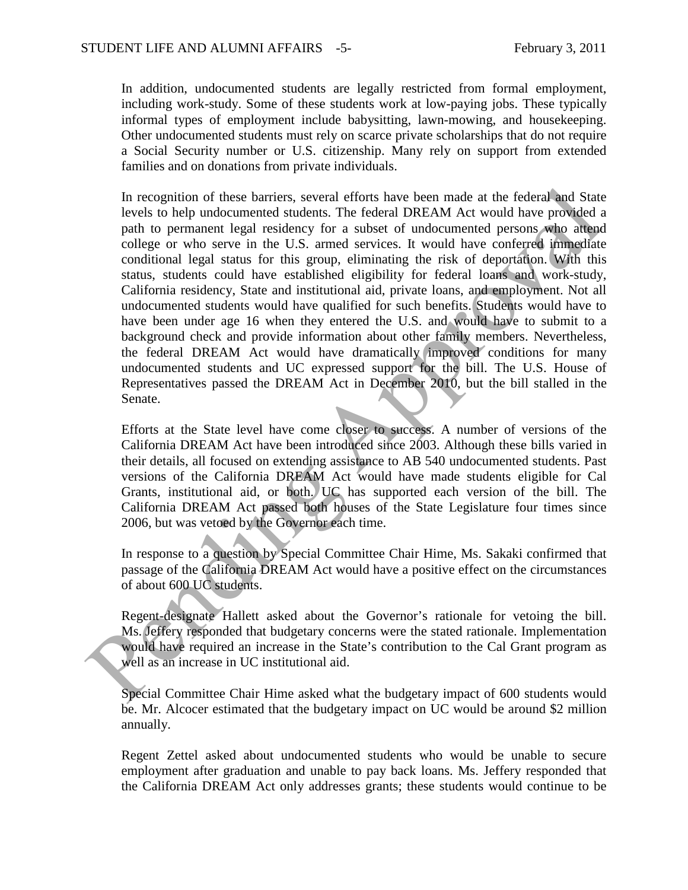In addition, undocumented students are legally restricted from formal employment, including work-study. Some of these students work at low-paying jobs. These typically informal types of employment include babysitting, lawn-mowing, and housekeeping. Other undocumented students must rely on scarce private scholarships that do not require a Social Security number or U.S. citizenship. Many rely on support from extended families and on donations from private individuals.

In recognition of these barriers, several efforts have been made at the federal and State levels to help undocumented students. The federal DREAM Act would have provided a path to permanent legal residency for a subset of undocumented persons who attend college or who serve in the U.S. armed services. It would have conferred immediate conditional legal status for this group, eliminating the risk of deportation. With this status, students could have established eligibility for federal loans and work-study, California residency, State and institutional aid, private loans, and employment. Not all undocumented students would have qualified for such benefits. Students would have to have been under age 16 when they entered the U.S. and would have to submit to a background check and provide information about other family members. Nevertheless, the federal DREAM Act would have dramatically improved conditions for many undocumented students and UC expressed support for the bill. The U.S. House of Representatives passed the DREAM Act in December 2010, but the bill stalled in the Senate. In recognition of these barriers, several efforts have been made at the federal and Statevels to help undocumented suchans. The focieral DREAM cet would have provided college or who serves in the U.S. armed services. It w

Efforts at the State level have come closer to success. A number of versions of the California DREAM Act have been introduced since 2003. Although these bills varied in their details, all focused on extending assistance to AB 540 undocumented students. Past versions of the California DREAM Act would have made students eligible for Cal Grants, institutional aid, or both. UC has supported each version of the bill. The California DREAM Act passed both houses of the State Legislature four times since 2006, but was vetoed by the Governor each time.

In response to a question by Special Committee Chair Hime, Ms. Sakaki confirmed that passage of the California DREAM Act would have a positive effect on the circumstances of about 600 UC students.

Regent-designate Hallett asked about the Governor's rationale for vetoing the bill. Ms. Jeffery responded that budgetary concerns were the stated rationale. Implementation would have required an increase in the State's contribution to the Cal Grant program as well as an increase in UC institutional aid.

Special Committee Chair Hime asked what the budgetary impact of 600 students would be. Mr. Alcocer estimated that the budgetary impact on UC would be around \$2 million annually.

Regent Zettel asked about undocumented students who would be unable to secure employment after graduation and unable to pay back loans. Ms. Jeffery responded that the California DREAM Act only addresses grants; these students would continue to be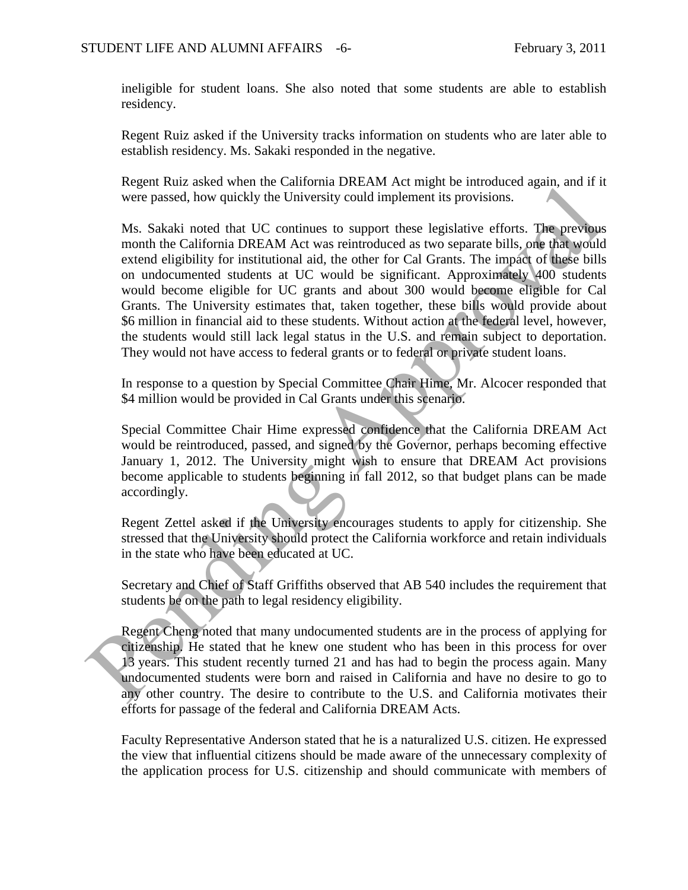ineligible for student loans. She also noted that some students are able to establish residency.

Regent Ruiz asked if the University tracks information on students who are later able to establish residency. Ms. Sakaki responded in the negative.

Regent Ruiz asked when the California DREAM Act might be introduced again, and if it were passed, how quickly the University could implement its provisions.

Ms. Sakaki noted that UC continues to support these legislative efforts. The previous month the California DREAM Act was reintroduced as two separate bills, one that would extend eligibility for institutional aid, the other for Cal Grants. The impact of these bills on undocumented students at UC would be significant. Approximately 400 students would become eligible for UC grants and about 300 would become eligible for Cal Grants. The University estimates that, taken together, these bills would provide about \$6 million in financial aid to these students. Without action at the federal level, however, the students would still lack legal status in the U.S. and remain subject to deportation. They would not have access to federal grants or to federal or private student loans. Nextar taxto when the Cantonia Detectminate Cantonia and the Cantonia and the California Bottom (and the University could implement its provisions.<br>
Ms. Sakaki noted that UC continues to support these legislative efforts.

In response to a question by Special Committee Chair Hime, Mr. Alcocer responded that \$4 million would be provided in Cal Grants under this scenario.

Special Committee Chair Hime expressed confidence that the California DREAM Act would be reintroduced, passed, and signed by the Governor, perhaps becoming effective January 1, 2012. The University might wish to ensure that DREAM Act provisions become applicable to students beginning in fall 2012, so that budget plans can be made accordingly.

Regent Zettel asked if the University encourages students to apply for citizenship. She stressed that the University should protect the California workforce and retain individuals in the state who have been educated at UC.

Secretary and Chief of Staff Griffiths observed that AB 540 includes the requirement that students be on the path to legal residency eligibility.

Regent Cheng noted that many undocumented students are in the process of applying for citizenship. He stated that he knew one student who has been in this process for over 13 years. This student recently turned 21 and has had to begin the process again. Many undocumented students were born and raised in California and have no desire to go to any other country. The desire to contribute to the U.S. and California motivates their efforts for passage of the federal and California DREAM Acts.

Faculty Representative Anderson stated that he is a naturalized U.S. citizen. He expressed the view that influential citizens should be made aware of the unnecessary complexity of the application process for U.S. citizenship and should communicate with members of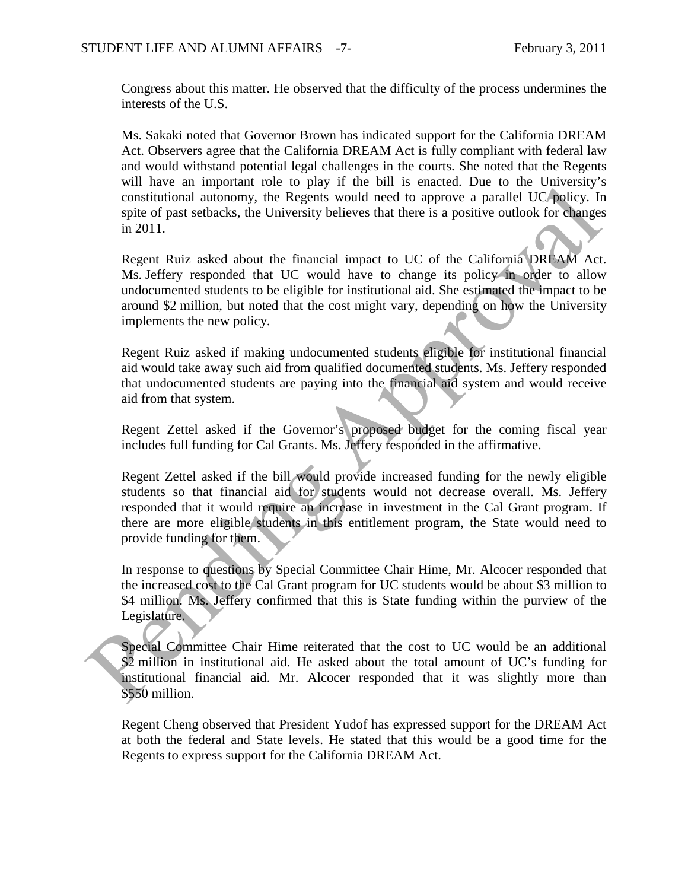Congress about this matter. He observed that the difficulty of the process undermines the interests of the U.S.

Ms. Sakaki noted that Governor Brown has indicated support for the California DREAM Act. Observers agree that the California DREAM Act is fully compliant with federal law and would withstand potential legal challenges in the courts. She noted that the Regents will have an important role to play if the bill is enacted. Due to the University's constitutional autonomy, the Regents would need to approve a parallel UC policy. In spite of past setbacks, the University believes that there is a positive outlook for changes in 2011.

Regent Ruiz asked about the financial impact to UC of the California DREAM Act. Ms. Jeffery responded that UC would have to change its policy in order to allow undocumented students to be eligible for institutional aid. She estimated the impact to be around \$2 million, but noted that the cost might vary, depending on how the University implements the new policy.

Regent Ruiz asked if making undocumented students eligible for institutional financial aid would take away such aid from qualified documented students. Ms. Jeffery responded that undocumented students are paying into the financial aid system and would receive aid from that system.

Regent Zettel asked if the Governor's proposed budget for the coming fiscal year includes full funding for Cal Grants. Ms. Jeffery responded in the affirmative.

Regent Zettel asked if the bill would provide increased funding for the newly eligible students so that financial aid for students would not decrease overall. Ms. Jeffery responded that it would require an increase in investment in the Cal Grant program. If there are more eligible students in this entitlement program, the State would need to provide funding for them. on marries and monotonical did by the control of the matter. The control on the matter of past sebacks, the University believes that there is a positive outlook for change in of past sebacks, the University believes that t

In response to questions by Special Committee Chair Hime, Mr. Alcocer responded that the increased cost to the Cal Grant program for UC students would be about \$3 million to \$4 million. Ms. Jeffery confirmed that this is State funding within the purview of the Legislature.

Special Committee Chair Hime reiterated that the cost to UC would be an additional \$2 million in institutional aid. He asked about the total amount of UC's funding for institutional financial aid. Mr. Alcocer responded that it was slightly more than \$550 million.

Regent Cheng observed that President Yudof has expressed support for the DREAM Act at both the federal and State levels. He stated that this would be a good time for the Regents to express support for the California DREAM Act.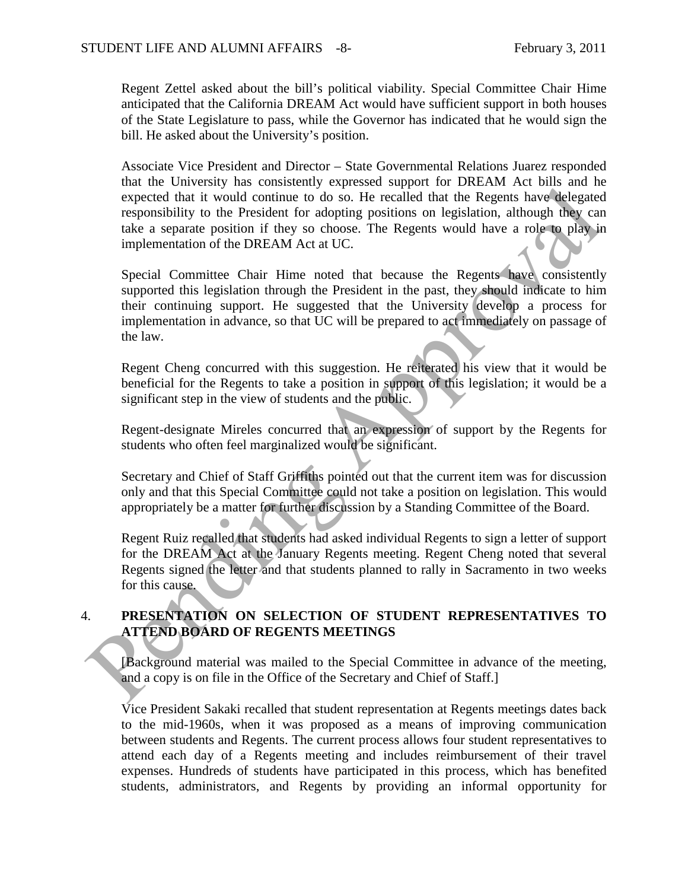Regent Zettel asked about the bill's political viability. Special Committee Chair Hime anticipated that the California DREAM Act would have sufficient support in both houses of the State Legislature to pass, while the Governor has indicated that he would sign the bill. He asked about the University's position.

Associate Vice President and Director – State Governmental Relations Juarez responded that the University has consistently expressed support for DREAM Act bills and he expected that it would continue to do so. He recalled that the Regents have delegated responsibility to the President for adopting positions on legislation, although they can take a separate position if they so choose. The Regents would have a role to play in implementation of the DREAM Act at UC.

Special Committee Chair Hime noted that because the Regents have consistently supported this legislation through the President in the past, they should indicate to him their continuing support. He suggested that the University develop a process for implementation in advance, so that UC will be prepared to act immediately on passage of the law. and one one consideration of solutions of solutions of solutions of solutions of the resident of the depends that appear and the respective the proposition of the protection of the protector. The Regenst would have a role

Regent Cheng concurred with this suggestion. He reiterated his view that it would be beneficial for the Regents to take a position in support of this legislation; it would be a significant step in the view of students and the public.

Regent-designate Mireles concurred that an expression of support by the Regents for students who often feel marginalized would be significant.

Secretary and Chief of Staff Griffiths pointed out that the current item was for discussion only and that this Special Committee could not take a position on legislation. This would appropriately be a matter for further discussion by a Standing Committee of the Board.

Regent Ruiz recalled that students had asked individual Regents to sign a letter of support for the DREAM Act at the January Regents meeting. Regent Cheng noted that several Regents signed the letter and that students planned to rally in Sacramento in two weeks for this cause.

### 4. **PRESENTATION ON SELECTION OF STUDENT REPRESENTATIVES TO ATTEND BOARD OF REGENTS MEETINGS**

[Background material was mailed to the Special Committee in advance of the meeting, and a copy is on file in the Office of the Secretary and Chief of Staff.]

Vice President Sakaki recalled that student representation at Regents meetings dates back to the mid-1960s, when it was proposed as a means of improving communication between students and Regents. The current process allows four student representatives to attend each day of a Regents meeting and includes reimbursement of their travel expenses. Hundreds of students have participated in this process, which has benefited students, administrators, and Regents by providing an informal opportunity for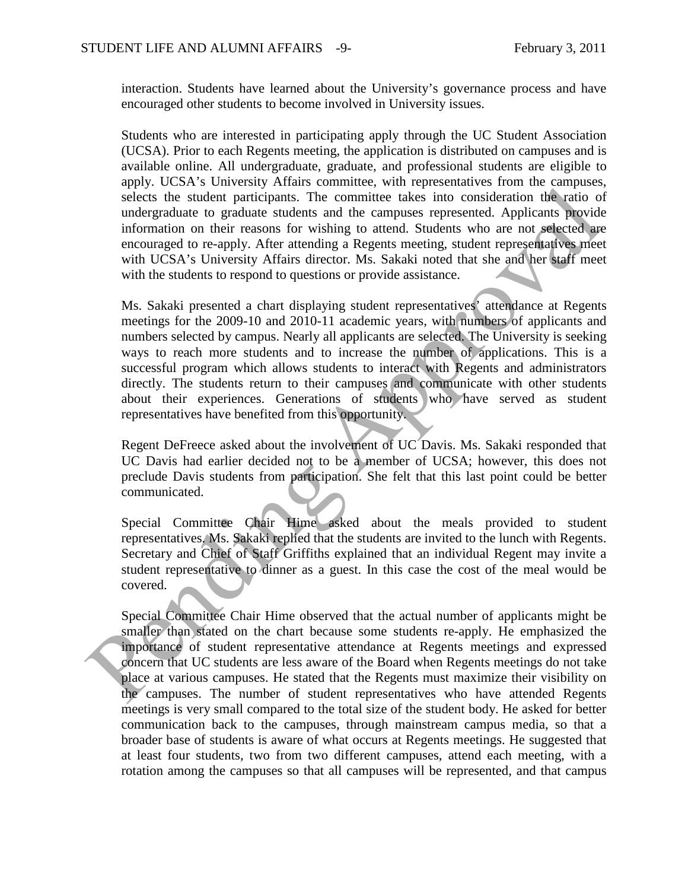interaction. Students have learned about the University's governance process and have encouraged other students to become involved in University issues.

Students who are interested in participating apply through the UC Student Association (UCSA). Prior to each Regents meeting, the application is distributed on campuses and is available online. All undergraduate, graduate, and professional students are eligible to apply. UCSA's University Affairs committee, with representatives from the campuses, selects the student participants. The committee takes into consideration the ratio of undergraduate to graduate students and the campuses represented. Applicants provide information on their reasons for wishing to attend. Students who are not selected are encouraged to re-apply. After attending a Regents meeting, student representatives meet with UCSA's University Affairs director. Ms. Sakaki noted that she and her staff meet with the students to respond to questions or provide assistance.

Ms. Sakaki presented a chart displaying student representatives' attendance at Regents meetings for the 2009-10 and 2010-11 academic years, with numbers of applicants and numbers selected by campus. Nearly all applicants are selected. The University is seeking ways to reach more students and to increase the number of applications. This is a successful program which allows students to interact with Regents and administrators directly. The students return to their campuses and communicate with other students about their experiences. Generations of students who have served as student representatives have benefited from this opportunity. appy. Coars of consistent and consistent who representative and consideration that participants. The committee takes into consideration the failo of undergraduate to graduat suddent is consideration that participants infor

Regent DeFreece asked about the involvement of UC Davis. Ms. Sakaki responded that UC Davis had earlier decided not to be a member of UCSA; however, this does not preclude Davis students from participation. She felt that this last point could be better communicated.

Special Committee Chair Hime asked about the meals provided to student representatives. Ms. Sakaki replied that the students are invited to the lunch with Regents. Secretary and Chief of Staff Griffiths explained that an individual Regent may invite a student representative to dinner as a guest. In this case the cost of the meal would be covered.

Special Committee Chair Hime observed that the actual number of applicants might be smaller than stated on the chart because some students re-apply. He emphasized the importance of student representative attendance at Regents meetings and expressed concern that UC students are less aware of the Board when Regents meetings do not take place at various campuses. He stated that the Regents must maximize their visibility on the campuses. The number of student representatives who have attended Regents meetings is very small compared to the total size of the student body. He asked for better communication back to the campuses, through mainstream campus media, so that a broader base of students is aware of what occurs at Regents meetings. He suggested that at least four students, two from two different campuses, attend each meeting, with a rotation among the campuses so that all campuses will be represented, and that campus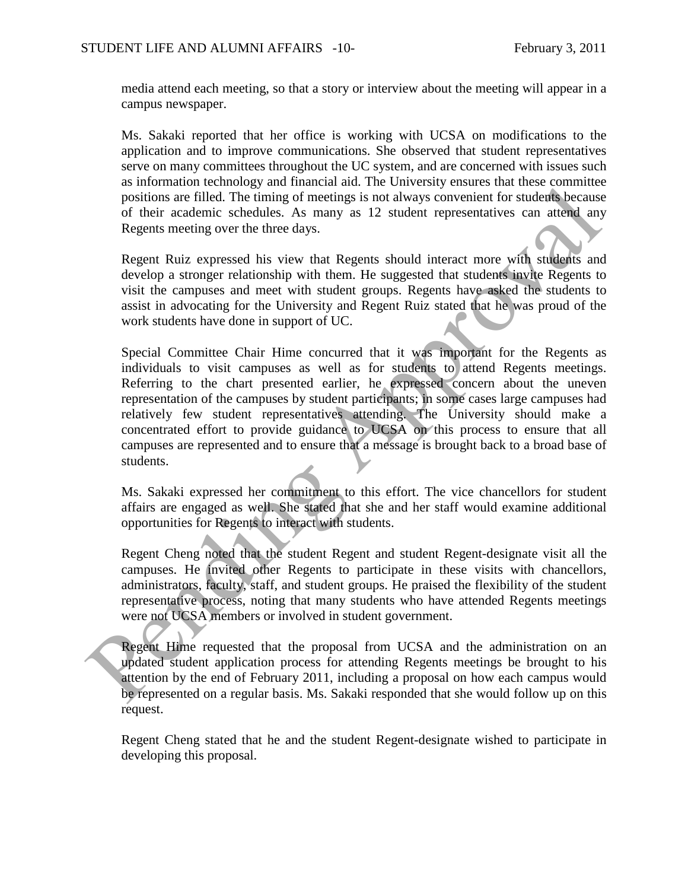media attend each meeting, so that a story or interview about the meeting will appear in a campus newspaper.

Ms. Sakaki reported that her office is working with UCSA on modifications to the application and to improve communications. She observed that student representatives serve on many committees throughout the UC system, and are concerned with issues such as information technology and financial aid. The University ensures that these committee positions are filled. The timing of meetings is not always convenient for students because of their academic schedules. As many as 12 student representatives can attend any Regents meeting over the three days.

Regent Ruiz expressed his view that Regents should interact more with students and develop a stronger relationship with them. He suggested that students invite Regents to visit the campuses and meet with student groups. Regents have asked the students to assist in advocating for the University and Regent Ruiz stated that he was proud of the work students have done in support of UC.

Special Committee Chair Hime concurred that it was important for the Regents as individuals to visit campuses as well as for students to attend Regents meetings. Referring to the chart presented earlier, he expressed concern about the uneven representation of the campuses by student participants; in some cases large campuses had relatively few student representatives attending. The University should make a concentrated effort to provide guidance to UCSA on this process to ensure that all campuses are represented and to ensure that a message is brought back to a broad base of students. as information sendomic means and a react that the contribution and the end that the state of their readers and the state of the timing of meetings is not always convenient for students because<br>of their academic schedulas.

Ms. Sakaki expressed her commitment to this effort. The vice chancellors for student affairs are engaged as well. She stated that she and her staff would examine additional opportunities for Regents to interact with students.

Regent Cheng noted that the student Regent and student Regent-designate visit all the campuses. He invited other Regents to participate in these visits with chancellors, administrators, faculty, staff, and student groups. He praised the flexibility of the student representative process, noting that many students who have attended Regents meetings were not UCSA members or involved in student government.

Regent Hime requested that the proposal from UCSA and the administration on an updated student application process for attending Regents meetings be brought to his attention by the end of February 2011, including a proposal on how each campus would be represented on a regular basis. Ms. Sakaki responded that she would follow up on this request.

Regent Cheng stated that he and the student Regent-designate wished to participate in developing this proposal.